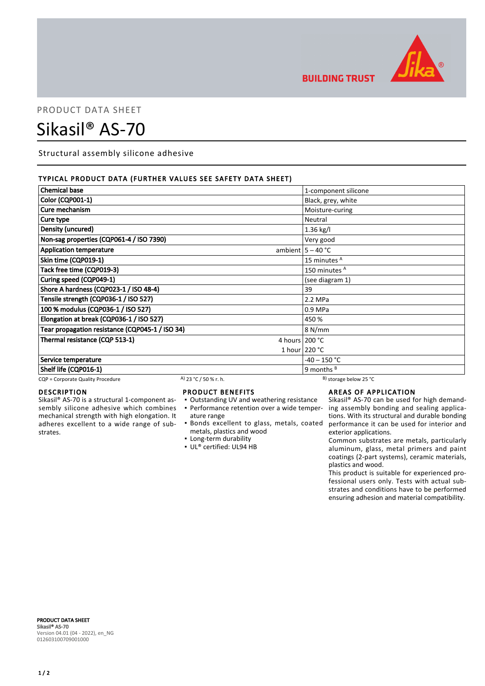

**BUILDING TRUST** 

## PRODUCT DATA SHEET

# Sikasil® AS-70

Structural assembly silicone adhesive

#### TYPICAL PRODUCT DATA (FURTHER VALUES SEE SAFETY DATA SHEET)

| <b>Chemical base</b>                            |                       | 1-component silicone         |
|-------------------------------------------------|-----------------------|------------------------------|
| Color (CQP001-1)                                |                       | Black, grey, white           |
| Cure mechanism                                  |                       | Moisture-curing              |
| Cure type                                       |                       | Neutral                      |
| Density (uncured)                               |                       | 1.36 kg/l                    |
| Non-sag properties (CQP061-4 / ISO 7390)        |                       | Very good                    |
| <b>Application temperature</b>                  |                       | ambient $5 - 40$ °C          |
| Skin time (CQP019-1)                            |                       | 15 minutes <sup>A</sup>      |
| Tack free time (CQP019-3)                       |                       | 150 minutes <sup>A</sup>     |
| Curing speed (CQP049-1)                         |                       | (see diagram 1)              |
| Shore A hardness (CQP023-1 / ISO 48-4)          |                       | 39                           |
| Tensile strength (CQP036-1 / ISO 527)           |                       | 2.2 MPa                      |
| 100 % modulus (CQP036-1 / ISO 527)              |                       | 0.9 MPa                      |
| Elongation at break (CQP036-1 / ISO 527)        |                       | 450 %                        |
| Tear propagation resistance (CQP045-1 / ISO 34) |                       | 8 N/mm                       |
| Thermal resistance (CQP 513-1)                  |                       | 4 hours 200 °C               |
|                                                 |                       | 1 hour 220 °C                |
| Service temperature                             |                       | $-40 - 150$ °C               |
| Shelf life (CQP016-1)                           |                       | 9 months $B$                 |
| CQP = Corporate Quality Procedure               | A) 23 °C / 50 % r. h. | $^{B}$ ) storage below 25 °C |

### DESCRIPTION

Sikasil® AS-70 is a structural 1-component assembly silicone adhesive which combines mechanical strength with high elongation. It adheres excellent to a wide range of substrates.

#### PRODUCT BENEFITS

- Outstanding UV and weathering resistance
- ature range
- metals, plastics and wood
- **Example 1** Long-term durability
- UL® certified: UL94 HB

#### AREAS OF APPLICATION

• Performance retention over a wide temper- ing assembly bonding and sealing applica-Bonds excellent to glass, metals, coated ▪ performance it can be used for interior and Sikasil® AS-70 can be used for high demandtions. With its structural and durable bonding exterior applications.

Common substrates are metals, particularly aluminum, glass, metal primers and paint coatings (2-part systems), ceramic materials, plastics and wood.

This product is suitable for experienced professional users only. Tests with actual substrates and conditions have to be performed ensuring adhesion and material compatibility.